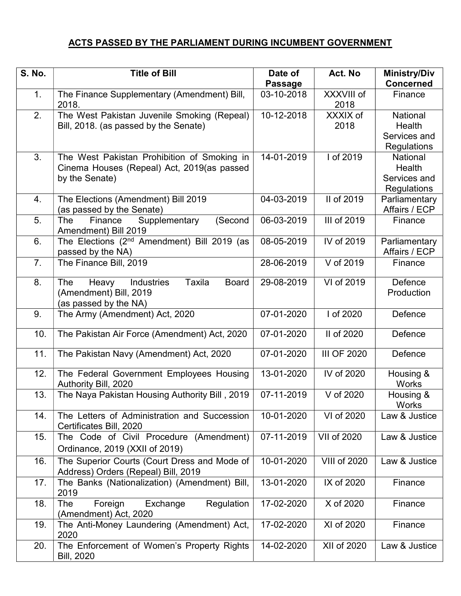## ACTS PASSED BY THE PARLIAMENT DURING INCUMBENT GOVERNMENT

| <b>S. No.</b> | <b>Title of Bill</b>                                             | Date of        | Act. No             | <b>Ministry/Div</b>            |
|---------------|------------------------------------------------------------------|----------------|---------------------|--------------------------------|
|               |                                                                  | <b>Passage</b> |                     | <b>Concerned</b>               |
| 1.            | The Finance Supplementary (Amendment) Bill,<br>2018.             | 03-10-2018     | XXXVIII of<br>2018  | Finance                        |
| 2.            | The West Pakistan Juvenile Smoking (Repeal)                      | 10-12-2018     | XXXIX of            | <b>National</b>                |
|               | Bill, 2018. (as passed by the Senate)                            |                | 2018                | Health                         |
|               |                                                                  |                |                     | Services and                   |
|               |                                                                  |                |                     | Regulations                    |
| 3.            | The West Pakistan Prohibition of Smoking in                      | 14-01-2019     | I of 2019           | National                       |
|               | Cinema Houses (Repeal) Act, 2019(as passed                       |                |                     | Health                         |
|               | by the Senate)                                                   |                |                     | Services and                   |
|               |                                                                  |                |                     | Regulations                    |
| 4.            | The Elections (Amendment) Bill 2019<br>(as passed by the Senate) | 04-03-2019     | II of 2019          | Parliamentary<br>Affairs / ECP |
| 5.            | Supplementary<br>(Second<br>The<br>Finance                       | 06-03-2019     | III of 2019         | Finance                        |
|               | Amendment) Bill 2019                                             |                |                     |                                |
| 6.            | The Elections (2 <sup>nd</sup> Amendment) Bill 2019 (as          | 08-05-2019     | IV of 2019          | Parliamentary                  |
|               | passed by the NA)                                                |                |                     | Affairs / ECP                  |
| 7.            | The Finance Bill, 2019                                           | 28-06-2019     | V of 2019           | Finance                        |
|               |                                                                  |                |                     |                                |
| 8.            | <b>Taxila</b><br><b>Board</b><br>The<br>Heavy<br>Industries      | 29-08-2019     | VI of 2019          | Defence                        |
|               | (Amendment) Bill, 2019                                           |                |                     | Production                     |
|               | (as passed by the NA)                                            |                |                     |                                |
| 9.            | The Army (Amendment) Act, 2020                                   | 07-01-2020     | I of 2020           | Defence                        |
| 10.           | The Pakistan Air Force (Amendment) Act, 2020                     | 07-01-2020     | II of 2020          | Defence                        |
|               |                                                                  |                |                     |                                |
| 11.           | The Pakistan Navy (Amendment) Act, 2020                          | 07-01-2020     | <b>III OF 2020</b>  | Defence                        |
| 12.           | The Federal Government Employees Housing                         | 13-01-2020     | IV of 2020          | Housing &                      |
|               | Authority Bill, 2020                                             |                |                     | <b>Works</b>                   |
| 13.           | The Naya Pakistan Housing Authority Bill, 2019                   | 07-11-2019     | V of 2020           | Housing &                      |
|               |                                                                  |                |                     | Works                          |
| 14.           | The Letters of Administration and Succession                     | 10-01-2020     | VI of 2020          | Law & Justice                  |
|               | Certificates Bill, 2020                                          |                |                     |                                |
| 15.           | The Code of Civil Procedure (Amendment)                          | 07-11-2019     | VII of 2020         | Law & Justice                  |
|               | Ordinance, 2019 (XXII of 2019)                                   |                |                     |                                |
| 16.           | The Superior Courts (Court Dress and Mode of                     | 10-01-2020     | <b>VIII of 2020</b> | Law & Justice                  |
|               | Address) Orders (Repeal) Bill, 2019                              |                |                     |                                |
| 17.           | The Banks (Nationalization) (Amendment) Bill,                    | 13-01-2020     | IX of 2020          | Finance                        |
|               | 2019                                                             |                |                     |                                |
| 18.           | The<br>Foreign<br>Exchange<br>Regulation                         | 17-02-2020     | X of 2020           | Finance                        |
|               | (Amendment) Act, 2020                                            |                |                     |                                |
| 19.           | The Anti-Money Laundering (Amendment) Act,                       | 17-02-2020     | XI of 2020          | Finance                        |
|               | 2020                                                             |                |                     |                                |
| 20.           | The Enforcement of Women's Property Rights                       | 14-02-2020     | XII of 2020         | Law & Justice                  |
|               | <b>Bill, 2020</b>                                                |                |                     |                                |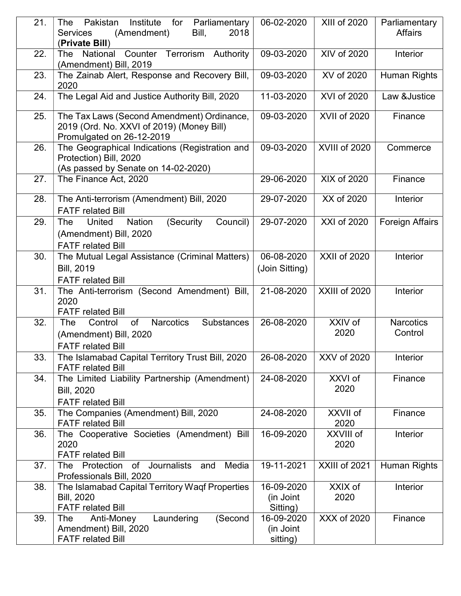| 21. | Institute<br>Pakistan<br>for<br>The<br>Parliamentary<br>(Amendment)<br>Bill,<br>2018<br><b>Services</b><br>(Private Bill) | 06-02-2020                          | XIII of 2020        | Parliamentary<br><b>Affairs</b> |
|-----|---------------------------------------------------------------------------------------------------------------------------|-------------------------------------|---------------------|---------------------------------|
| 22. | Counter Terrorism<br>Authority<br>National<br>The<br>(Amendment) Bill, 2019                                               | 09-03-2020                          | XIV of 2020         | Interior                        |
| 23. | The Zainab Alert, Response and Recovery Bill,<br>2020                                                                     | 09-03-2020                          | XV of 2020          | Human Rights                    |
| 24. | The Legal Aid and Justice Authority Bill, 2020                                                                            | 11-03-2020                          | XVI of 2020         | Law &Justice                    |
| 25. | The Tax Laws (Second Amendment) Ordinance,<br>2019 (Ord. No. XXVI of 2019) (Money Bill)<br>Promulgated on 26-12-2019      | 09-03-2020                          | <b>XVII of 2020</b> | Finance                         |
| 26. | The Geographical Indications (Registration and<br>Protection) Bill, 2020<br>(As passed by Senate on 14-02-2020)           | 09-03-2020                          | XVIII of 2020       | Commerce                        |
| 27. | The Finance Act, 2020                                                                                                     | 29-06-2020                          | XIX of 2020         | Finance                         |
| 28. | The Anti-terrorism (Amendment) Bill, 2020<br><b>FATF related Bill</b>                                                     | 29-07-2020                          | XX of 2020          | Interior                        |
| 29. | United<br><b>Nation</b><br>(Security)<br>Council)<br>The<br>(Amendment) Bill, 2020<br><b>FATF</b> related Bill            | 29-07-2020                          | XXI of 2020         | <b>Foreign Affairs</b>          |
| 30. | The Mutual Legal Assistance (Criminal Matters)<br><b>Bill, 2019</b><br><b>FATF related Bill</b>                           | 06-08-2020<br>(Join Sitting)        | <b>XXII of 2020</b> | Interior                        |
| 31. | The Anti-terrorism (Second Amendment) Bill,<br>2020<br><b>FATF related Bill</b>                                           | 21-08-2020                          | XXIII of 2020       | Interior                        |
| 32. | of<br><b>Narcotics</b><br><b>Substances</b><br>Control<br>The<br>(Amendment) Bill, 2020<br><b>FATF related Bill</b>       | 26-08-2020                          | XXIV of<br>2020     | <b>Narcotics</b><br>Control     |
| 33. | The Islamabad Capital Territory Trust Bill, 2020<br><b>FATF related Bill</b>                                              | 26-08-2020                          | XXV of 2020         | Interior                        |
| 34. | The Limited Liability Partnership (Amendment)<br><b>Bill, 2020</b><br><b>FATF related Bill</b>                            | 24-08-2020                          | XXVI of<br>2020     | Finance                         |
| 35. | The Companies (Amendment) Bill, 2020<br><b>FATF related Bill</b>                                                          | 24-08-2020                          | XXVII of<br>2020    | Finance                         |
| 36. | The Cooperative Societies (Amendment) Bill<br>2020<br><b>FATF related Bill</b>                                            | 16-09-2020                          | XXVIII of<br>2020   | Interior                        |
| 37. | Journalists<br>Media<br>Protection<br>and<br>The<br>of<br>Professionals Bill, 2020                                        | 19-11-2021                          | XXIII of 2021       | Human Rights                    |
| 38. | The Islamabad Capital Territory Waqf Properties<br><b>Bill, 2020</b><br><b>FATF related Bill</b>                          | 16-09-2020<br>(in Joint<br>Sitting) | XXIX of<br>2020     | Interior                        |
| 39. | The<br>Anti-Money<br>Laundering<br>(Second<br>Amendment) Bill, 2020<br><b>FATF related Bill</b>                           | 16-09-2020<br>(in Joint<br>sitting) | XXX of 2020         | Finance                         |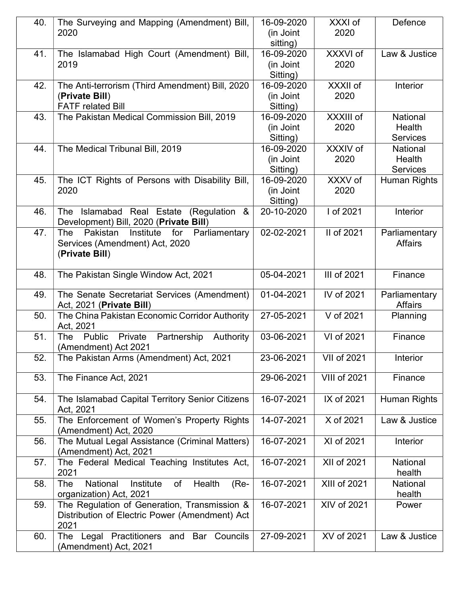| 40. | The Surveying and Mapping (Amendment) Bill,            | 16-09-2020 | XXXI of             | Defence         |
|-----|--------------------------------------------------------|------------|---------------------|-----------------|
|     | 2020                                                   | (in Joint  | 2020                |                 |
|     |                                                        | sitting)   |                     |                 |
| 41. | The Islamabad High Court (Amendment) Bill,             | 16-09-2020 | XXXVI of            | Law & Justice   |
|     | 2019                                                   | (in Joint  | 2020                |                 |
|     |                                                        | Sitting)   |                     |                 |
| 42. | The Anti-terrorism (Third Amendment) Bill, 2020        | 16-09-2020 | XXXII of            | Interior        |
|     | (Private Bill)                                         | (in Joint  | 2020                |                 |
|     | <b>FATF related Bill</b>                               | Sitting)   |                     |                 |
| 43. | The Pakistan Medical Commission Bill, 2019             | 16-09-2020 | XXXIII of           | <b>National</b> |
|     |                                                        | (in Joint  | 2020                | Health          |
|     |                                                        | Sitting)   |                     | <b>Services</b> |
| 44. | The Medical Tribunal Bill, 2019                        | 16-09-2020 | XXXIV of            | <b>National</b> |
|     |                                                        | (in Joint  | 2020                | Health          |
|     |                                                        | Sitting)   |                     | <b>Services</b> |
| 45. | The ICT Rights of Persons with Disability Bill,        | 16-09-2020 | XXXV of             | Human Rights    |
|     | 2020                                                   | (in Joint  | 2020                |                 |
|     |                                                        | Sitting)   |                     |                 |
| 46. | Islamabad Real Estate (Regulation<br>The<br>&          | 20-10-2020 | I of 2021           | Interior        |
|     | Development) Bill, 2020 (Private Bill)                 |            |                     |                 |
| 47. | Institute<br>for<br>Parliamentary<br>The<br>Pakistan   | 02-02-2021 | II of 2021          | Parliamentary   |
|     | Services (Amendment) Act, 2020                         |            |                     | <b>Affairs</b>  |
|     | (Private Bill)                                         |            |                     |                 |
|     |                                                        |            |                     |                 |
| 48. | The Pakistan Single Window Act, 2021                   | 05-04-2021 | III of 2021         | Finance         |
|     |                                                        |            |                     |                 |
| 49. | The Senate Secretariat Services (Amendment)            | 01-04-2021 | IV of 2021          | Parliamentary   |
|     | Act, 2021 (Private Bill)                               |            |                     | <b>Affairs</b>  |
| 50. | The China Pakistan Economic Corridor Authority         | 27-05-2021 | V of 2021           | Planning        |
|     | Act, 2021                                              |            |                     |                 |
| 51. | Public<br>Private<br>Partnership<br>Authority<br>The   | 03-06-2021 | VI of 2021          | Finance         |
|     | (Amendment) Act 2021                                   |            |                     |                 |
| 52. | The Pakistan Arms (Amendment) Act, 2021                | 23-06-2021 | <b>VII of 2021</b>  | Interior        |
|     |                                                        |            |                     |                 |
| 53. | The Finance Act, 2021                                  | 29-06-2021 | <b>VIII of 2021</b> | Finance         |
|     |                                                        |            |                     |                 |
| 54. | The Islamabad Capital Territory Senior Citizens        | 16-07-2021 | IX of 2021          | Human Rights    |
|     | Act, 2021                                              |            |                     |                 |
| 55. | The Enforcement of Women's Property Rights             | 14-07-2021 | X of 2021           | Law & Justice   |
|     | (Amendment) Act, 2020                                  |            |                     |                 |
| 56. | The Mutual Legal Assistance (Criminal Matters)         | 16-07-2021 | XI of 2021          | Interior        |
|     | (Amendment) Act, 2021                                  |            |                     |                 |
| 57. | The Federal Medical Teaching Institutes Act,           | 16-07-2021 | XII of 2021         | National        |
|     | 2021                                                   |            |                     | health          |
| 58. | National<br>Institute<br>Health<br>The<br>of<br>$(Re-$ | 16-07-2021 | <b>XIII of 2021</b> | National        |
|     | organization) Act, 2021                                |            |                     | health          |
| 59. | The Regulation of Generation, Transmission &           | 16-07-2021 | XIV of 2021         | Power           |
|     | Distribution of Electric Power (Amendment) Act         |            |                     |                 |
|     | 2021                                                   |            |                     |                 |
| 60. | Legal Practitioners and Bar<br>Councils<br>The         | 27-09-2021 | XV of 2021          | Law & Justice   |
|     | (Amendment) Act, 2021                                  |            |                     |                 |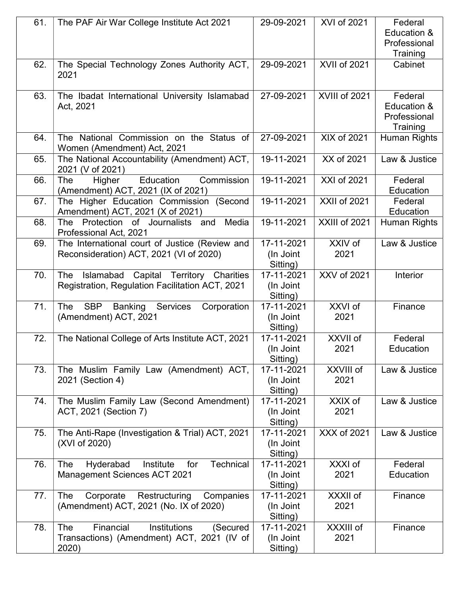| 61. | The PAF Air War College Institute Act 2021                                                          | 29-09-2021                          | <b>XVI of 2021</b>  | Federal<br>Education &<br>Professional<br>Training |
|-----|-----------------------------------------------------------------------------------------------------|-------------------------------------|---------------------|----------------------------------------------------|
| 62. | The Special Technology Zones Authority ACT,<br>2021                                                 | 29-09-2021                          | XVII of 2021        | Cabinet                                            |
| 63. | The Ibadat International University Islamabad<br>Act, 2021                                          | 27-09-2021                          | XVIII of 2021       | Federal<br>Education &<br>Professional<br>Training |
| 64. | The National Commission on the Status of<br>Women (Amendment) Act, 2021                             | 27-09-2021                          | XIX of 2021         | Human Rights                                       |
| 65. | The National Accountability (Amendment) ACT,<br>2021 (V of 2021)                                    | 19-11-2021                          | XX of 2021          | Law & Justice                                      |
| 66. | Education<br>Commission<br>The<br>Higher<br>(Amendment) ACT, 2021 (IX of 2021)                      | 19-11-2021                          | XXI of 2021         | Federal<br>Education                               |
| 67. | The Higher Education Commission (Second<br>Amendment) ACT, 2021 (X of 2021)                         | 19-11-2021                          | <b>XXII of 2021</b> | Federal<br>Education                               |
| 68. | Protection of Journalists and<br>Media<br>The<br>Professional Act, 2021                             | 19-11-2021                          | XXIII of 2021       | Human Rights                                       |
| 69. | The International court of Justice (Review and<br>Reconsideration) ACT, 2021 (VI of 2020)           | 17-11-2021<br>(In Joint<br>Sitting) | XXIV of<br>2021     | Law & Justice                                      |
| 70. | Islamabad Capital Territory Charities<br>The<br>Registration, Regulation Facilitation ACT, 2021     | 17-11-2021<br>(In Joint<br>Sitting) | XXV of 2021         | Interior                                           |
| 71. | <b>SBP</b><br>The<br><b>Banking</b><br><b>Services</b><br>Corporation<br>(Amendment) ACT, 2021      | 17-11-2021<br>(In Joint<br>Sitting) | XXVI of<br>2021     | Finance                                            |
| 72. | The National College of Arts Institute ACT, 2021                                                    | 17-11-2021<br>(In Joint<br>Sitting) | XXVII of<br>2021    | Federal<br>Education                               |
| 73. | The Muslim Family Law (Amendment) ACT,<br>2021 (Section 4)                                          | 17-11-2021<br>(In Joint<br>Sitting) | XXVIII of<br>2021   | Law & Justice                                      |
| 74. | The Muslim Family Law (Second Amendment)<br>ACT, 2021 (Section 7)                                   | 17-11-2021<br>(In Joint<br>Sitting) | XXIX of<br>2021     | Law & Justice                                      |
| 75. | The Anti-Rape (Investigation & Trial) ACT, 2021<br>(XVI of 2020)                                    | 17-11-2021<br>(In Joint<br>Sitting) | XXX of 2021         | Law & Justice                                      |
| 76. | Hyderabad<br>Institute<br>for<br><b>Technical</b><br>The<br><b>Management Sciences ACT 2021</b>     | 17-11-2021<br>(In Joint<br>Sitting) | XXXI of<br>2021     | Federal<br>Education                               |
| 77. | The<br>Corporate<br>Companies<br>Restructuring<br>(Amendment) ACT, 2021 (No. IX of 2020)            | 17-11-2021<br>(In Joint<br>Sitting) | XXXII of<br>2021    | Finance                                            |
| 78. | Financial<br>The<br>Institutions<br>(Secured<br>Transactions) (Amendment) ACT, 2021 (IV of<br>2020) | 17-11-2021<br>(In Joint<br>Sitting) | XXXIII of<br>2021   | Finance                                            |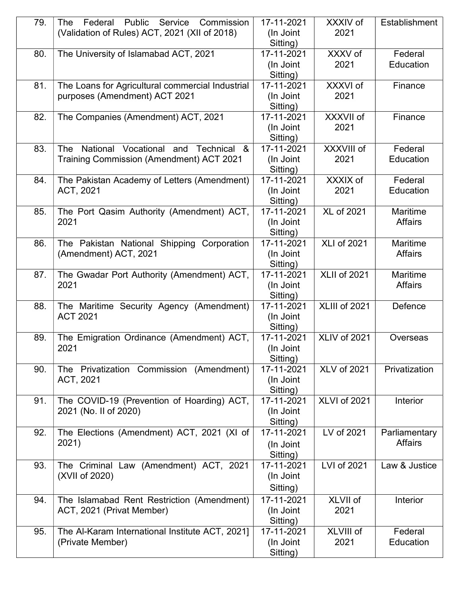| 79. | Federal<br>Public<br>Service<br>Commission<br>The | 17-11-2021             | XXXIV of            | Establishment   |
|-----|---------------------------------------------------|------------------------|---------------------|-----------------|
|     | (Validation of Rules) ACT, 2021 (XII of 2018)     | (In Joint              | 2021                |                 |
|     |                                                   | Sitting)               |                     |                 |
| 80. | The University of Islamabad ACT, 2021             | 17-11-2021             | XXXV of             | Federal         |
|     |                                                   | (In Joint              | 2021                | Education       |
|     |                                                   | Sitting)               |                     |                 |
| 81. | The Loans for Agricultural commercial Industrial  | 17-11-2021             | XXXVI of            | Finance         |
|     | purposes (Amendment) ACT 2021                     | (In Joint              | 2021                |                 |
|     |                                                   | Sitting)               |                     |                 |
| 82. | The Companies (Amendment) ACT, 2021               | 17-11-2021             | XXXVII of           | Finance         |
|     |                                                   | (In Joint              | 2021                |                 |
| 83. | National Vocational and<br>The<br>Technical<br>&  | Sitting)<br>17-11-2021 | XXXVIII of          | Federal         |
|     |                                                   | (In Joint              | 2021                | Education       |
|     | <b>Training Commission (Amendment) ACT 2021</b>   |                        |                     |                 |
| 84. | The Pakistan Academy of Letters (Amendment)       | Sitting)<br>17-11-2021 | XXXIX of            | Federal         |
|     | ACT, 2021                                         | (In Joint              | 2021                | Education       |
|     |                                                   | Sitting)               |                     |                 |
| 85. | The Port Qasim Authority (Amendment) ACT,         | 17-11-2021             | <b>XL of 2021</b>   | <b>Maritime</b> |
|     | 2021                                              | (In Joint              |                     | <b>Affairs</b>  |
|     |                                                   | Sitting)               |                     |                 |
| 86. | The Pakistan National Shipping Corporation        | 17-11-2021             | <b>XLI of 2021</b>  | Maritime        |
|     | (Amendment) ACT, 2021                             | (In Joint              |                     | <b>Affairs</b>  |
|     |                                                   | Sitting)               |                     |                 |
| 87. | The Gwadar Port Authority (Amendment) ACT,        | 17-11-2021             | <b>XLII of 2021</b> | Maritime        |
|     | 2021                                              | (In Joint              |                     | <b>Affairs</b>  |
|     |                                                   | Sitting)               |                     |                 |
| 88. | The Maritime Security Agency (Amendment)          | 17-11-2021             | XLIII of 2021       | Defence         |
|     | <b>ACT 2021</b>                                   | (In Joint              |                     |                 |
|     |                                                   | Sitting)               |                     |                 |
| 89. | The Emigration Ordinance (Amendment) ACT,         | 17-11-2021             | XLIV of 2021        | Overseas        |
|     | 2021                                              | (In Joint              |                     |                 |
|     |                                                   | Sitting)               |                     |                 |
| 90. | The Privatization Commission (Amendment)          | 17-11-2021             | <b>XLV of 2021</b>  | Privatization   |
|     | ACT, 2021                                         | (In Joint              |                     |                 |
|     |                                                   | Sitting)               |                     |                 |
| 91. | The COVID-19 (Prevention of Hoarding) ACT,        | 17-11-2021             | XLVI of 2021        | Interior        |
|     | 2021 (No. II of 2020)                             | (In Joint              |                     |                 |
|     |                                                   | Sitting)               |                     |                 |
| 92. | The Elections (Amendment) ACT, 2021 (XI of        | 17-11-2021             | LV of 2021          | Parliamentary   |
|     | 2021)                                             | (In Joint              |                     | <b>Affairs</b>  |
|     |                                                   | Sitting)               |                     |                 |
| 93. | The Criminal Law (Amendment) ACT, 2021            | 17-11-2021             | LVI of 2021         | Law & Justice   |
|     | (XVII of 2020)                                    | (In Joint              |                     |                 |
|     |                                                   | Sitting)               |                     |                 |
| 94. | The Islamabad Rent Restriction (Amendment)        | 17-11-2021             | XLVII of            | Interior        |
|     | ACT, 2021 (Privat Member)                         | (In Joint              | 2021                |                 |
|     |                                                   | Sitting)               |                     |                 |
| 95. | The Al-Karam International Institute ACT, 2021]   | 17-11-2021             | XLVIII of           | Federal         |
|     | (Private Member)                                  | (In Joint              | 2021                | Education       |
|     |                                                   | Sitting)               |                     |                 |